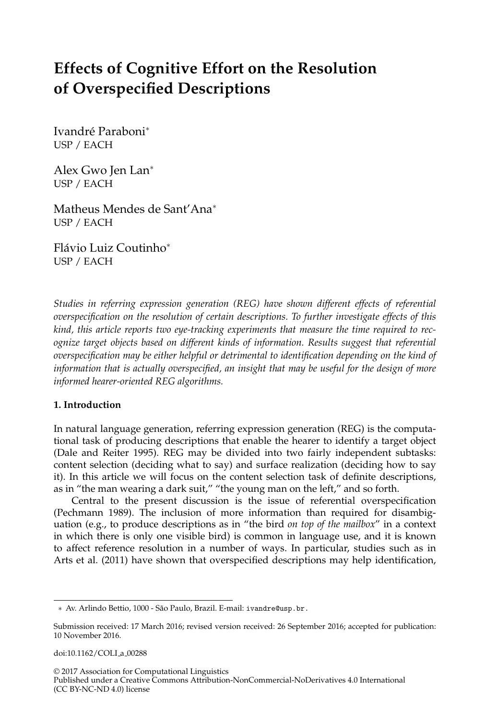# **Effects of Cognitive Effort on the Resolution of Overspecified Descriptions**

Ivandré Paraboni\* USP / EACH

Alex Gwo Jen Lan<sup>∗</sup> USP / EACH

Matheus Mendes de Sant'Ana<sup>∗</sup> USP / EACH

Flávio Luiz Coutinho<sup>\*</sup> USP / EACH

*Studies in referring expression generation (REG) have shown different effects of referential overspecification on the resolution of certain descriptions. To further investigate effects of this kind, this article reports two eye-tracking experiments that measure the time required to recognize target objects based on different kinds of information. Results suggest that referential overspecification may be either helpful or detrimental to identification depending on the kind of information that is actually overspecified, an insight that may be useful for the design of more informed hearer-oriented REG algorithms.*

## **1. Introduction**

In natural language generation, referring expression generation (REG) is the computational task of producing descriptions that enable the hearer to identify a target object (Dale and Reiter 1995). REG may be divided into two fairly independent subtasks: content selection (deciding what to say) and surface realization (deciding how to say it). In this article we will focus on the content selection task of definite descriptions, as in "the man wearing a dark suit," "the young man on the left," and so forth.

Central to the present discussion is the issue of referential overspecification (Pechmann 1989). The inclusion of more information than required for disambiguation (e.g., to produce descriptions as in "the bird *on top of the mailbox*" in a context in which there is only one visible bird) is common in language use, and it is known to affect reference resolution in a number of ways. In particular, studies such as in Arts et al. (2011) have shown that overspecified descriptions may help identification,

© 2017 Association for Computational Linguistics Published under a Creative Commons Attribution-NonCommercial-NoDerivatives 4.0 International (CC BY-NC-ND 4.0) license

<sup>∗</sup> Av. Arlindo Bettio, 1000 - Sao Paulo, Brazil. E-mail: ˜ ivandre@usp.br.

Submission received: 17 March 2016; revised version received: 26 September 2016; accepted for publication: 10 November 2016.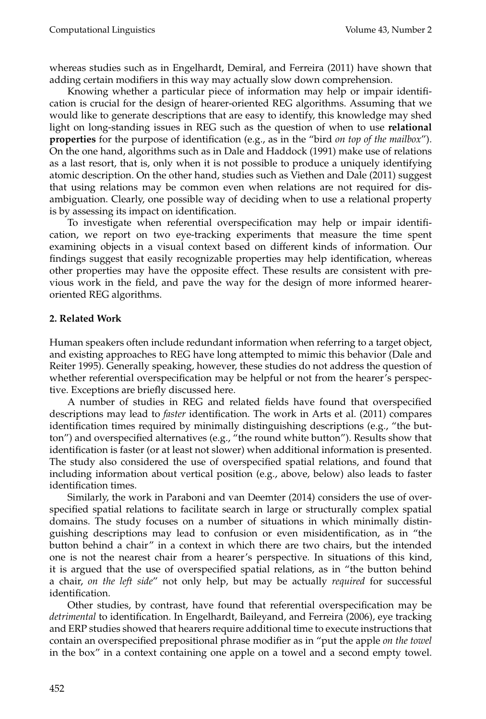whereas studies such as in Engelhardt, Demiral, and Ferreira (2011) have shown that adding certain modifiers in this way may actually slow down comprehension.

Knowing whether a particular piece of information may help or impair identification is crucial for the design of hearer-oriented REG algorithms. Assuming that we would like to generate descriptions that are easy to identify, this knowledge may shed light on long-standing issues in REG such as the question of when to use **relational properties** for the purpose of identification (e.g., as in the "bird *on top of the mailbox*"). On the one hand, algorithms such as in Dale and Haddock (1991) make use of relations as a last resort, that is, only when it is not possible to produce a uniquely identifying atomic description. On the other hand, studies such as Viethen and Dale (2011) suggest that using relations may be common even when relations are not required for disambiguation. Clearly, one possible way of deciding when to use a relational property is by assessing its impact on identification.

To investigate when referential overspecification may help or impair identification, we report on two eye-tracking experiments that measure the time spent examining objects in a visual context based on different kinds of information. Our findings suggest that easily recognizable properties may help identification, whereas other properties may have the opposite effect. These results are consistent with previous work in the field, and pave the way for the design of more informed heareroriented REG algorithms.

#### **2. Related Work**

Human speakers often include redundant information when referring to a target object, and existing approaches to REG have long attempted to mimic this behavior (Dale and Reiter 1995). Generally speaking, however, these studies do not address the question of whether referential overspecification may be helpful or not from the hearer's perspective. Exceptions are briefly discussed here.

A number of studies in REG and related fields have found that overspecified descriptions may lead to *faster* identification. The work in Arts et al. (2011) compares identification times required by minimally distinguishing descriptions (e.g., "the button") and overspecified alternatives (e.g., "the round white button"). Results show that identification is faster (or at least not slower) when additional information is presented. The study also considered the use of overspecified spatial relations, and found that including information about vertical position (e.g., above, below) also leads to faster identification times.

Similarly, the work in Paraboni and van Deemter (2014) considers the use of overspecified spatial relations to facilitate search in large or structurally complex spatial domains. The study focuses on a number of situations in which minimally distinguishing descriptions may lead to confusion or even misidentification, as in "the button behind a chair" in a context in which there are two chairs, but the intended one is not the nearest chair from a hearer's perspective. In situations of this kind, it is argued that the use of overspecified spatial relations, as in "the button behind a chair, *on the left side*" not only help, but may be actually *required* for successful identification.

Other studies, by contrast, have found that referential overspecification may be *detrimental* to identification. In Engelhardt, Baileyand, and Ferreira (2006), eye tracking and ERP studies showed that hearers require additional time to execute instructions that contain an overspecified prepositional phrase modifier as in "put the apple *on the towel* in the box" in a context containing one apple on a towel and a second empty towel.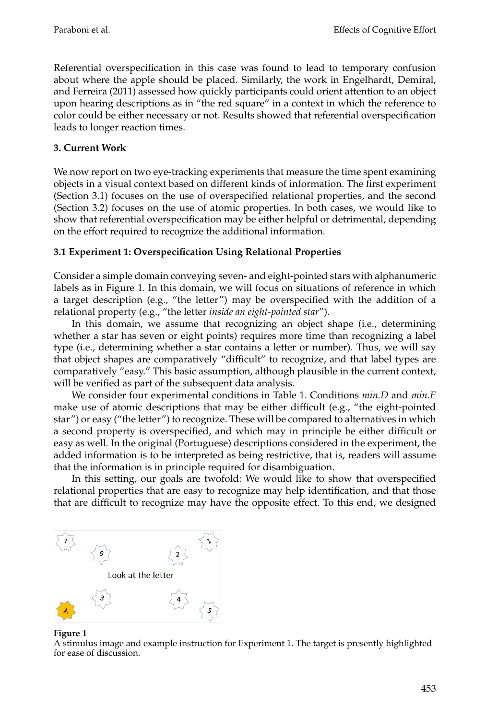Referential overspecification in this case was found to lead to temporary confusion about where the apple should be placed. Similarly, the work in Engelhardt, Demiral, and Ferreira (2011) assessed how quickly participants could orient attention to an object upon hearing descriptions as in "the red square" in a context in which the reference to color could be either necessary or not. Results showed that referential overspecification leads to longer reaction times.

## **3. Current Work**

We now report on two eye-tracking experiments that measure the time spent examining objects in a visual context based on different kinds of information. The first experiment (Section 3.1) focuses on the use of overspecified relational properties, and the second (Section 3.2) focuses on the use of atomic properties. In both cases, we would like to show that referential overspecification may be either helpful or detrimental, depending on the effort required to recognize the additional information.

## **3.1 Experiment 1: Overspecification Using Relational Properties**

Consider a simple domain conveying seven- and eight-pointed stars with alphanumeric labels as in Figure 1. In this domain, we will focus on situations of reference in which a target description (e.g., "the letter") may be overspecified with the addition of a relational property (e.g., "the letter *inside an eight-pointed star*").

In this domain, we assume that recognizing an object shape (i.e., determining whether a star has seven or eight points) requires more time than recognizing a label type (i.e., determining whether a star contains a letter or number). Thus, we will say that object shapes are comparatively "difficult" to recognize, and that label types are comparatively "easy." This basic assumption, although plausible in the current context, will be verified as part of the subsequent data analysis.

We consider four experimental conditions in Table 1. Conditions *min.D* and *min.E* make use of atomic descriptions that may be either difficult (e.g., "the eight-pointed star") or easy ("the letter") to recognize. These will be compared to alternatives in which a second property is overspecified, and which may in principle be either difficult or easy as well. In the original (Portuguese) descriptions considered in the experiment, the added information is to be interpreted as being restrictive, that is, readers will assume that the information is in principle required for disambiguation.

In this setting, our goals are twofold: We would like to show that overspecified relational properties that are easy to recognize may help identification, and that those that are difficult to recognize may have the opposite effect. To this end, we designed



#### **Figure 1**

A stimulus image and example instruction for Experiment 1. The target is presently highlighted for ease of discussion.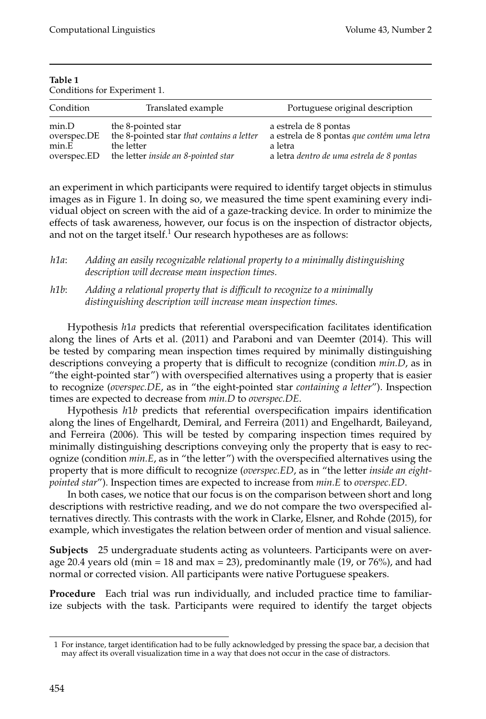|                               | Conditions for Experiment 1.                                                                                                     |                                                                                                                             |  |  |  |
|-------------------------------|----------------------------------------------------------------------------------------------------------------------------------|-----------------------------------------------------------------------------------------------------------------------------|--|--|--|
| Condition                     | Translated example                                                                                                               | Portuguese original description                                                                                             |  |  |  |
| min.D<br>overspec.DE<br>min.E | the 8-pointed star<br>the 8-pointed star that contains a letter<br>the letter<br>overspec.ED the letter inside an 8-pointed star | a estrela de 8 pontas<br>a estrela de 8 pontas que contém uma letra<br>a letra<br>a letra dentro de uma estrela de 8 pontas |  |  |  |

## **Table 1**

an experiment in which participants were required to identify target objects in stimulus images as in Figure 1. In doing so, we measured the time spent examining every individual object on screen with the aid of a gaze-tracking device. In order to minimize the effects of task awareness, however, our focus is on the inspection of distractor objects, and not on the target itself.<sup>1</sup> Our research hypotheses are as follows:

*h1a*: *Adding an easily recognizable relational property to a minimally distinguishing description will decrease mean inspection times.*

*h1b*: *Adding a relational property that is difficult to recognize to a minimally distinguishing description will increase mean inspection times.*

Hypothesis *h*1*a* predicts that referential overspecification facilitates identification along the lines of Arts et al. (2011) and Paraboni and van Deemter (2014). This will be tested by comparing mean inspection times required by minimally distinguishing descriptions conveying a property that is difficult to recognize (condition *min.D*, as in "the eight-pointed star") with overspecified alternatives using a property that is easier to recognize (*overspec.DE*, as in "the eight-pointed star *containing a letter*"). Inspection times are expected to decrease from *min.D* to *overspec.DE*.

Hypothesis *h*1*b* predicts that referential overspecification impairs identification along the lines of Engelhardt, Demiral, and Ferreira (2011) and Engelhardt, Baileyand, and Ferreira (2006). This will be tested by comparing inspection times required by minimally distinguishing descriptions conveying only the property that is easy to recognize (condition *min.E*, as in "the letter") with the overspecified alternatives using the property that is more difficult to recognize (*overspec.ED*, as in "the letter *inside an eightpointed star*"). Inspection times are expected to increase from *min.E* to *overspec.ED*.

In both cases, we notice that our focus is on the comparison between short and long descriptions with restrictive reading, and we do not compare the two overspecified alternatives directly. This contrasts with the work in Clarke, Elsner, and Rohde (2015), for example, which investigates the relation between order of mention and visual salience.

**Subjects** 25 undergraduate students acting as volunteers. Participants were on average 20.4 years old (min = 18 and max = 23), predominantly male (19, or 76%), and had normal or corrected vision. All participants were native Portuguese speakers.

**Procedure** Each trial was run individually, and included practice time to familiarize subjects with the task. Participants were required to identify the target objects

<sup>1</sup> For instance, target identification had to be fully acknowledged by pressing the space bar, a decision that may affect its overall visualization time in a way that does not occur in the case of distractors.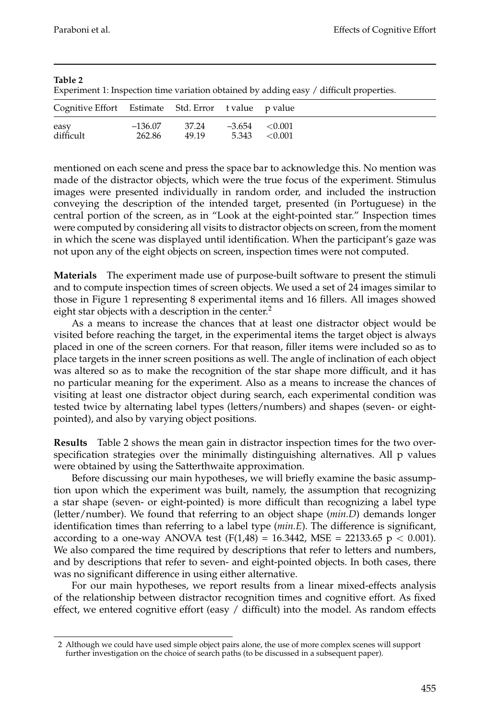|                                                      | Experiment 1: Inspection time variation obtained by adding easy / difficult properties. |                |  |                                             |  |
|------------------------------------------------------|-----------------------------------------------------------------------------------------|----------------|--|---------------------------------------------|--|
| Cognitive Effort Estimate Std. Error t value p value |                                                                                         |                |  |                                             |  |
| easy<br>difficult                                    | $-136.07$<br>262.86                                                                     | 37.24<br>49.19 |  | $-3.654$ $< 0.001$<br>$5.343 \quad < 0.001$ |  |

**Table 2**

mentioned on each scene and press the space bar to acknowledge this. No mention was made of the distractor objects, which were the true focus of the experiment. Stimulus images were presented individually in random order, and included the instruction conveying the description of the intended target, presented (in Portuguese) in the central portion of the screen, as in "Look at the eight-pointed star." Inspection times were computed by considering all visits to distractor objects on screen, from the moment in which the scene was displayed until identification. When the participant's gaze was not upon any of the eight objects on screen, inspection times were not computed.

**Materials** The experiment made use of purpose-built software to present the stimuli and to compute inspection times of screen objects. We used a set of 24 images similar to those in Figure 1 representing 8 experimental items and 16 fillers. All images showed eight star objects with a description in the center.<sup>2</sup>

As a means to increase the chances that at least one distractor object would be visited before reaching the target, in the experimental items the target object is always placed in one of the screen corners. For that reason, filler items were included so as to place targets in the inner screen positions as well. The angle of inclination of each object was altered so as to make the recognition of the star shape more difficult, and it has no particular meaning for the experiment. Also as a means to increase the chances of visiting at least one distractor object during search, each experimental condition was tested twice by alternating label types (letters/numbers) and shapes (seven- or eightpointed), and also by varying object positions.

**Results** Table 2 shows the mean gain in distractor inspection times for the two overspecification strategies over the minimally distinguishing alternatives. All p values were obtained by using the Satterthwaite approximation.

Before discussing our main hypotheses, we will briefly examine the basic assumption upon which the experiment was built, namely, the assumption that recognizing a star shape (seven- or eight-pointed) is more difficult than recognizing a label type (letter/number). We found that referring to an object shape (*min.D*) demands longer identification times than referring to a label type (*min.E*). The difference is significant, according to a one-way ANOVA test  $(F(1,48) = 16.3442, \text{MSE} = 22133.65 \text{ p} < 0.001)$ . We also compared the time required by descriptions that refer to letters and numbers, and by descriptions that refer to seven- and eight-pointed objects. In both cases, there was no significant difference in using either alternative.

For our main hypotheses, we report results from a linear mixed-effects analysis of the relationship between distractor recognition times and cognitive effort. As fixed effect, we entered cognitive effort (easy / difficult) into the model. As random effects

<sup>2</sup> Although we could have used simple object pairs alone, the use of more complex scenes will support further investigation on the choice of search paths (to be discussed in a subsequent paper).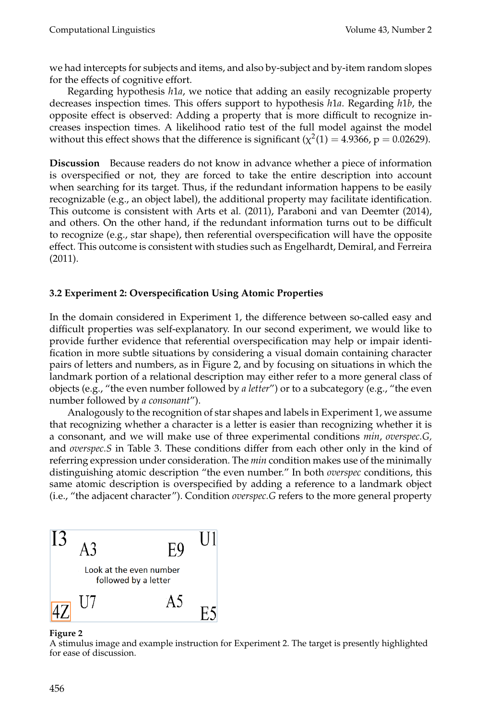we had intercepts for subjects and items, and also by-subject and by-item random slopes for the effects of cognitive effort.

Regarding hypothesis *h*1*a*, we notice that adding an easily recognizable property decreases inspection times. This offers support to hypothesis *h*1*a*. Regarding *h*1*b*, the opposite effect is observed: Adding a property that is more difficult to recognize increases inspection times. A likelihood ratio test of the full model against the model without this effect shows that the difference is significant ( $\chi^2(1) = 4.9366$ , p = 0.02629).

**Discussion** Because readers do not know in advance whether a piece of information is overspecified or not, they are forced to take the entire description into account when searching for its target. Thus, if the redundant information happens to be easily recognizable (e.g., an object label), the additional property may facilitate identification. This outcome is consistent with Arts et al. (2011), Paraboni and van Deemter (2014), and others. On the other hand, if the redundant information turns out to be difficult to recognize (e.g., star shape), then referential overspecification will have the opposite effect. This outcome is consistent with studies such as Engelhardt, Demiral, and Ferreira (2011).

#### **3.2 Experiment 2: Overspecification Using Atomic Properties**

In the domain considered in Experiment 1, the difference between so-called easy and difficult properties was self-explanatory. In our second experiment, we would like to provide further evidence that referential overspecification may help or impair identification in more subtle situations by considering a visual domain containing character pairs of letters and numbers, as in Figure 2, and by focusing on situations in which the landmark portion of a relational description may either refer to a more general class of objects (e.g., "the even number followed by *a letter*") or to a subcategory (e.g., "the even number followed by *a consonant*").

Analogously to the recognition of star shapes and labels in Experiment 1, we assume that recognizing whether a character is a letter is easier than recognizing whether it is a consonant, and we will make use of three experimental conditions *min*, *overspec.G,* and *overspec.S* in Table 3. These conditions differ from each other only in the kind of referring expression under consideration. The *min* condition makes use of the minimally distinguishing atomic description "the even number." In both *overspec* conditions, this same atomic description is overspecified by adding a reference to a landmark object (i.e., "the adjacent character"). Condition *overspec.G* refers to the more general property



#### **Figure 2**

A stimulus image and example instruction for Experiment 2. The target is presently highlighted for ease of discussion.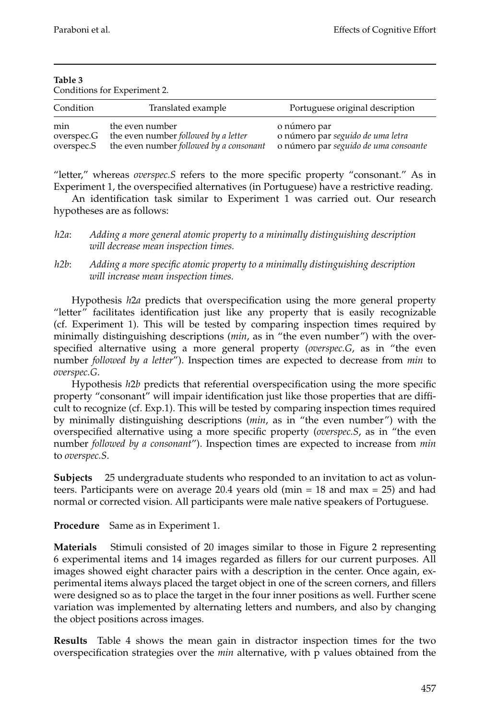| Tapic J                         | Conditions for Experiment 2.                                                                       |                                                                                            |
|---------------------------------|----------------------------------------------------------------------------------------------------|--------------------------------------------------------------------------------------------|
| Condition                       | Translated example                                                                                 | Portuguese original description                                                            |
| min<br>overspec.G<br>overspec.S | the even number<br>the even number followed by a letter<br>the even number followed by a consonant | o número par<br>o número par seguido de uma letra<br>o número par seguido de uma consoante |

**Table 3**

"letter," whereas *overspec.S* refers to the more specific property "consonant." As in Experiment 1, the overspecified alternatives (in Portuguese) have a restrictive reading.

An identification task similar to Experiment 1 was carried out. Our research hypotheses are as follows:

*h2a*: *Adding a more general atomic property to a minimally distinguishing description will decrease mean inspection times.*

*h2b*: *Adding a more specific atomic property to a minimally distinguishing description will increase mean inspection times.*

Hypothesis *h*2*a* predicts that overspecification using the more general property "letter" facilitates identification just like any property that is easily recognizable (cf. Experiment 1). This will be tested by comparing inspection times required by minimally distinguishing descriptions (*min*, as in "the even number") with the overspecified alternative using a more general property (*overspec.G*, as in "the even number *followed by a letter*"). Inspection times are expected to decrease from *min* to *overspec.G*.

Hypothesis *h*2*b* predicts that referential overspecification using the more specific property "consonant" will impair identification just like those properties that are difficult to recognize (cf. Exp.1). This will be tested by comparing inspection times required by minimally distinguishing descriptions (*min*, as in "the even number") with the overspecified alternative using a more specific property (*overspec.S*, as in "the even number *followed by a consonant*"). Inspection times are expected to increase from *min* to *overspec.S*.

**Subjects** 25 undergraduate students who responded to an invitation to act as volunteers. Participants were on average 20.4 years old (min = 18 and max = 25) and had normal or corrected vision. All participants were male native speakers of Portuguese.

**Procedure** Same as in Experiment 1.

**Materials** Stimuli consisted of 20 images similar to those in Figure 2 representing 6 experimental items and 14 images regarded as fillers for our current purposes. All images showed eight character pairs with a description in the center. Once again, experimental items always placed the target object in one of the screen corners, and fillers were designed so as to place the target in the four inner positions as well. Further scene variation was implemented by alternating letters and numbers, and also by changing the object positions across images.

**Results** Table 4 shows the mean gain in distractor inspection times for the two overspecification strategies over the *min* alternative, with p values obtained from the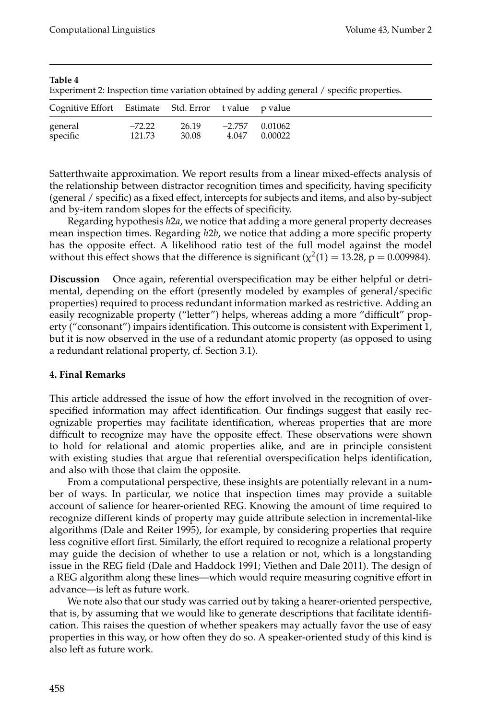| ٠<br>٠<br>- -<br>×<br>۰. |  |
|--------------------------|--|
|--------------------------|--|

Experiment 2: Inspection time variation obtained by adding general / specific properties.

| Cognitive Effort Estimate Std. Error tvalue p value |                  |                                 |               |  |
|-----------------------------------------------------|------------------|---------------------------------|---------------|--|
| general<br>specific                                 | –72.22<br>121.73 | $26.19 -2.757 0.01062$<br>30.08 | 4.047 0.00022 |  |

Satterthwaite approximation. We report results from a linear mixed-effects analysis of the relationship between distractor recognition times and specificity, having specificity (general / specific) as a fixed effect, intercepts for subjects and items, and also by-subject and by-item random slopes for the effects of specificity.

Regarding hypothesis *h*2*a*, we notice that adding a more general property decreases mean inspection times. Regarding *h*2*b*, we notice that adding a more specific property has the opposite effect. A likelihood ratio test of the full model against the model without this effect shows that the difference is significant ( $\chi^2(1) = 13.28$ , p = 0.009984).

**Discussion** Once again, referential overspecification may be either helpful or detrimental, depending on the effort (presently modeled by examples of general/specific properties) required to process redundant information marked as restrictive. Adding an easily recognizable property ("letter") helps, whereas adding a more "difficult" property ("consonant") impairs identification. This outcome is consistent with Experiment 1, but it is now observed in the use of a redundant atomic property (as opposed to using a redundant relational property, cf. Section 3.1).

## **4. Final Remarks**

This article addressed the issue of how the effort involved in the recognition of overspecified information may affect identification. Our findings suggest that easily recognizable properties may facilitate identification, whereas properties that are more difficult to recognize may have the opposite effect. These observations were shown to hold for relational and atomic properties alike, and are in principle consistent with existing studies that argue that referential overspecification helps identification, and also with those that claim the opposite.

From a computational perspective, these insights are potentially relevant in a number of ways. In particular, we notice that inspection times may provide a suitable account of salience for hearer-oriented REG. Knowing the amount of time required to recognize different kinds of property may guide attribute selection in incremental-like algorithms (Dale and Reiter 1995), for example, by considering properties that require less cognitive effort first. Similarly, the effort required to recognize a relational property may guide the decision of whether to use a relation or not, which is a longstanding issue in the REG field (Dale and Haddock 1991; Viethen and Dale 2011). The design of a REG algorithm along these lines—which would require measuring cognitive effort in advance—is left as future work.

We note also that our study was carried out by taking a hearer-oriented perspective, that is, by assuming that we would like to generate descriptions that facilitate identification. This raises the question of whether speakers may actually favor the use of easy properties in this way, or how often they do so. A speaker-oriented study of this kind is also left as future work.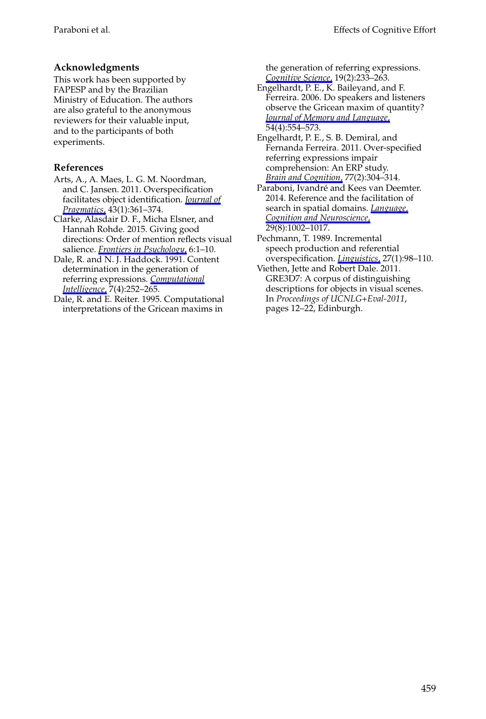## **Acknowledgments**

This work has been supported by FAPESP and by the Brazilian Ministry of Education. The authors are also grateful to the anonymous reviewers for their valuable input, and to the participants of both experiments.

### **References**

- Arts, A., A. Maes, L. G. M. Noordman, and C. Jansen. 2011. Overspecification facilitates object identification. *[Journal of](http://www.mitpressjournals.org/action/showLinks?doi=10.1162%2FCOLI_a_00288&crossref=10.1016%2Fj.pragma.2010.07.013&citationId=p_1) [Pragmatics](http://www.mitpressjournals.org/action/showLinks?doi=10.1162%2FCOLI_a_00288&crossref=10.1016%2Fj.pragma.2010.07.013&citationId=p_1)*, 43(1):361–374.
- Clarke, Alasdair D. F., Micha Elsner, and Hannah Rohde. 2015. Giving good directions: Order of mention reflects visual salience. *[Frontiers in Psychology](http://www.mitpressjournals.org/action/showLinks?doi=10.1162%2FCOLI_a_00288&crossref=10.3389%2Ffpsyg.2015.01793&citationId=p_2)*, 6:1–10.
- Dale, R. and N. J. Haddock. 1991. Content determination in the generation of referring expressions. *[Computational](http://www.mitpressjournals.org/action/showLinks?doi=10.1162%2FCOLI_a_00288&crossref=10.1111%2Fj.1467-8640.1991.tb00399.x&citationId=p_3) [Intelligence](http://www.mitpressjournals.org/action/showLinks?doi=10.1162%2FCOLI_a_00288&crossref=10.1111%2Fj.1467-8640.1991.tb00399.x&citationId=p_3)*, 7(4):252–265.
- Dale, R. and E. Reiter. 1995. Computational interpretations of the Gricean maxims in

the generation of referring expressions. *[Cognitive Science](http://www.mitpressjournals.org/action/showLinks?doi=10.1162%2FCOLI_a_00288&crossref=10.1207%2Fs15516709cog1902_3&citationId=p_4)*, 19(2):233–263.

- Engelhardt, P. E., K. Baileyand, and F. Ferreira. 2006. Do speakers and listeners observe the Gricean maxim of quantity? *[Journal of Memory and Language](http://www.mitpressjournals.org/action/showLinks?doi=10.1162%2FCOLI_a_00288&crossref=10.1016%2Fj.jml.2005.12.009&citationId=p_5)*, 54(4):554–573.
- Engelhardt, P. E., S. B. Demiral, and Fernanda Ferreira. 2011. Over-specified referring expressions impair comprehension: An ERP study. *[Brain and Cognition](http://www.mitpressjournals.org/action/showLinks?doi=10.1162%2FCOLI_a_00288&crossref=10.1016%2Fj.bandc.2011.07.004&citationId=p_6)*, 77(2):304–314.
- Paraboni, Ivandré and Kees van Deemter. 2014. Reference and the facilitation of search in spatial domains. *[Language,](http://www.mitpressjournals.org/action/showLinks?doi=10.1162%2FCOLI_a_00288&crossref=10.1080%2F01690965.2013.805796&citationId=p_7) [Cognition and Neuroscience](http://www.mitpressjournals.org/action/showLinks?doi=10.1162%2FCOLI_a_00288&crossref=10.1080%2F01690965.2013.805796&citationId=p_7)*, 29(8):1002–1017.
- Pechmann, T. 1989. Incremental speech production and referential overspecification. *[Linguistics](http://www.mitpressjournals.org/action/showLinks?doi=10.1162%2FCOLI_a_00288&crossref=10.1515%2Fling.1989.27.1.89&citationId=p_8)*, 27(1):98–110.
- Viethen, Jette and Robert Dale. 2011. GRE3D7: A corpus of distinguishing descriptions for objects in visual scenes. In *Proceedings of UCNLG+Eval-2011*, pages 12–22, Edinburgh.